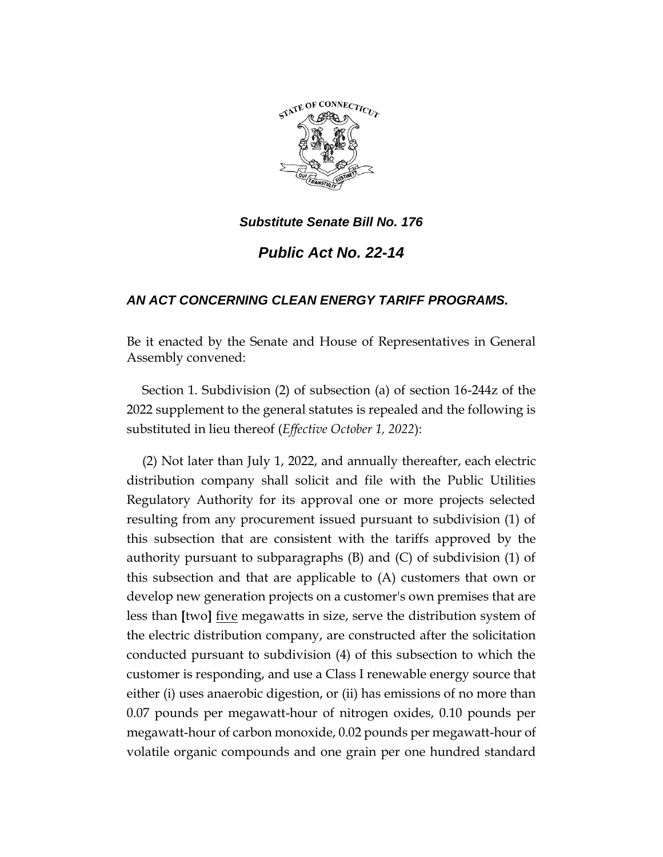

*Public Act No. 22-14*

# *AN ACT CONCERNING CLEAN ENERGY TARIFF PROGRAMS.*

Be it enacted by the Senate and House of Representatives in General Assembly convened:

Section 1. Subdivision (2) of subsection (a) of section 16-244z of the 2022 supplement to the general statutes is repealed and the following is substituted in lieu thereof (*Effective October 1, 2022*):

(2) Not later than July 1, 2022, and annually thereafter, each electric distribution company shall solicit and file with the Public Utilities Regulatory Authority for its approval one or more projects selected resulting from any procurement issued pursuant to subdivision (1) of this subsection that are consistent with the tariffs approved by the authority pursuant to subparagraphs (B) and (C) of subdivision (1) of this subsection and that are applicable to (A) customers that own or develop new generation projects on a customer's own premises that are less than **[**two**]** five megawatts in size, serve the distribution system of the electric distribution company, are constructed after the solicitation conducted pursuant to subdivision (4) of this subsection to which the customer is responding, and use a Class I renewable energy source that either (i) uses anaerobic digestion, or (ii) has emissions of no more than 0.07 pounds per megawatt-hour of nitrogen oxides, 0.10 pounds per megawatt-hour of carbon monoxide, 0.02 pounds per megawatt-hour of volatile organic compounds and one grain per one hundred standard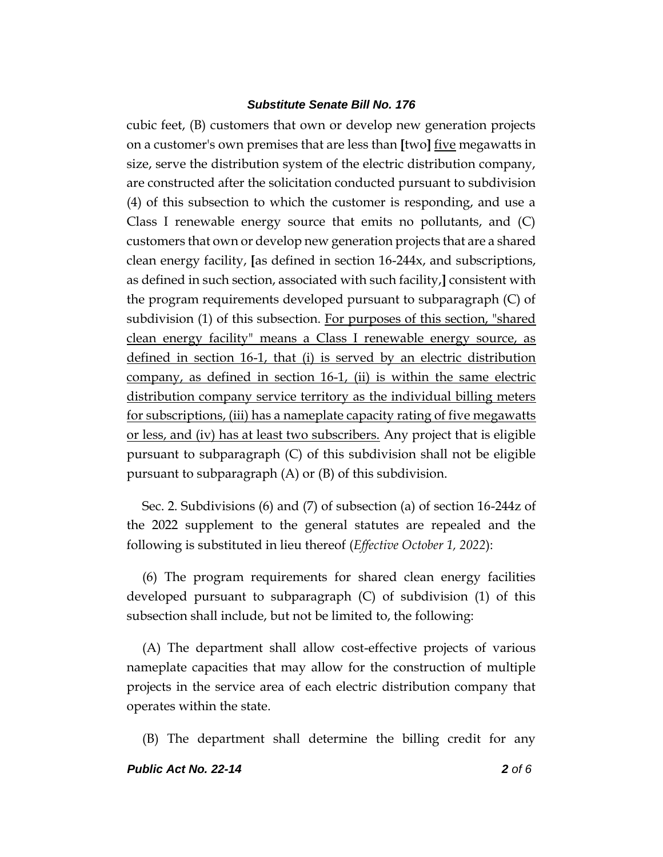cubic feet, (B) customers that own or develop new generation projects on a customer's own premises that are less than **[**two**]** five megawatts in size, serve the distribution system of the electric distribution company, are constructed after the solicitation conducted pursuant to subdivision (4) of this subsection to which the customer is responding, and use a Class I renewable energy source that emits no pollutants, and (C) customers that own or develop new generation projects that are a shared clean energy facility, **[**as defined in section 16-244x, and subscriptions, as defined in such section, associated with such facility,**]** consistent with the program requirements developed pursuant to subparagraph (C) of subdivision (1) of this subsection. For purposes of this section, "shared clean energy facility" means a Class I renewable energy source, as defined in section 16-1, that (i) is served by an electric distribution company, as defined in section 16-1, (ii) is within the same electric distribution company service territory as the individual billing meters for subscriptions, (iii) has a nameplate capacity rating of five megawatts or less, and (iv) has at least two subscribers. Any project that is eligible pursuant to subparagraph (C) of this subdivision shall not be eligible pursuant to subparagraph (A) or (B) of this subdivision.

Sec. 2. Subdivisions (6) and (7) of subsection (a) of section 16-244z of the 2022 supplement to the general statutes are repealed and the following is substituted in lieu thereof (*Effective October 1, 2022*):

(6) The program requirements for shared clean energy facilities developed pursuant to subparagraph (C) of subdivision (1) of this subsection shall include, but not be limited to, the following:

(A) The department shall allow cost-effective projects of various nameplate capacities that may allow for the construction of multiple projects in the service area of each electric distribution company that operates within the state.

(B) The department shall determine the billing credit for any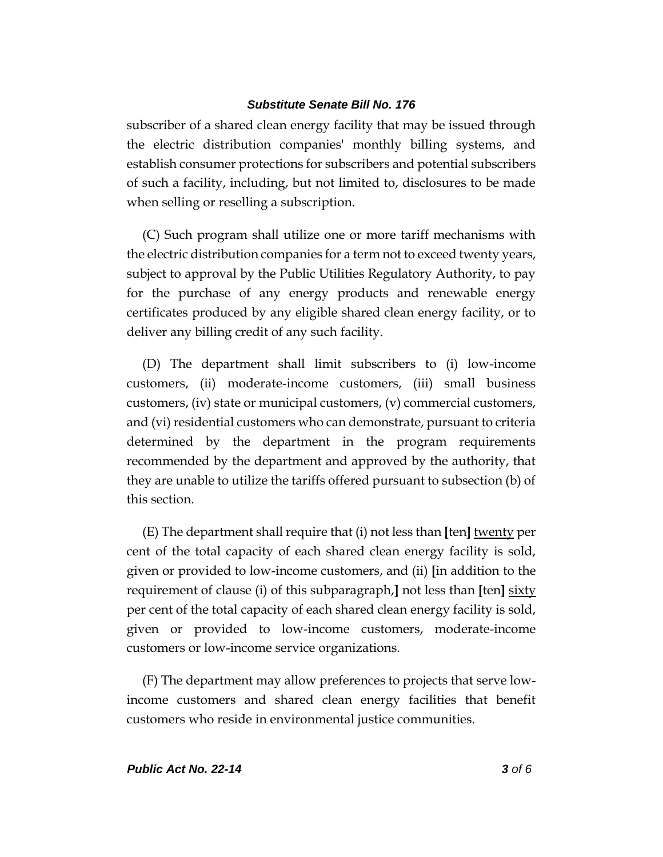subscriber of a shared clean energy facility that may be issued through the electric distribution companies' monthly billing systems, and establish consumer protections for subscribers and potential subscribers of such a facility, including, but not limited to, disclosures to be made when selling or reselling a subscription.

(C) Such program shall utilize one or more tariff mechanisms with the electric distribution companies for a term not to exceed twenty years, subject to approval by the Public Utilities Regulatory Authority, to pay for the purchase of any energy products and renewable energy certificates produced by any eligible shared clean energy facility, or to deliver any billing credit of any such facility.

(D) The department shall limit subscribers to (i) low-income customers, (ii) moderate-income customers, (iii) small business customers, (iv) state or municipal customers, (v) commercial customers, and (vi) residential customers who can demonstrate, pursuant to criteria determined by the department in the program requirements recommended by the department and approved by the authority, that they are unable to utilize the tariffs offered pursuant to subsection (b) of this section.

(E) The department shall require that (i) not less than **[**ten**]** twenty per cent of the total capacity of each shared clean energy facility is sold, given or provided to low-income customers, and (ii) **[**in addition to the requirement of clause (i) of this subparagraph,**]** not less than **[**ten**]** sixty per cent of the total capacity of each shared clean energy facility is sold, given or provided to low-income customers, moderate-income customers or low-income service organizations.

(F) The department may allow preferences to projects that serve lowincome customers and shared clean energy facilities that benefit customers who reside in environmental justice communities.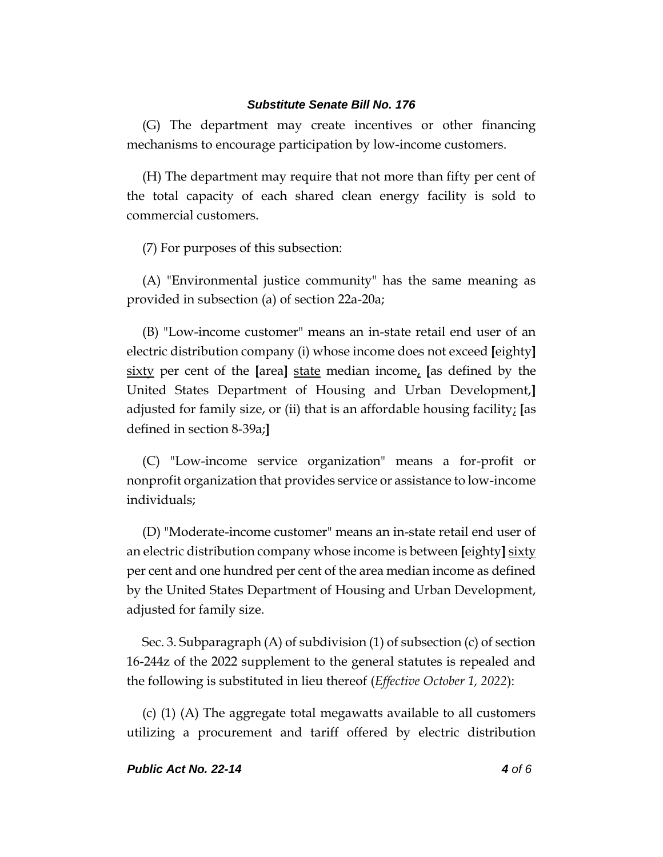(G) The department may create incentives or other financing mechanisms to encourage participation by low-income customers.

(H) The department may require that not more than fifty per cent of the total capacity of each shared clean energy facility is sold to commercial customers.

(7) For purposes of this subsection:

(A) "Environmental justice community" has the same meaning as provided in subsection (a) of section 22a-20a;

(B) "Low-income customer" means an in-state retail end user of an electric distribution company (i) whose income does not exceed **[**eighty**]** sixty per cent of the **[**area**]** state median income, **[**as defined by the United States Department of Housing and Urban Development,**]** adjusted for family size, or (ii) that is an affordable housing facility; **[**as defined in section 8-39a;**]**

(C) "Low-income service organization" means a for-profit or nonprofit organization that provides service or assistance to low-income individuals;

(D) "Moderate-income customer" means an in-state retail end user of an electric distribution company whose income is between **[**eighty**]** sixty per cent and one hundred per cent of the area median income as defined by the United States Department of Housing and Urban Development, adjusted for family size.

Sec. 3. Subparagraph (A) of subdivision (1) of subsection (c) of section 16-244z of the 2022 supplement to the general statutes is repealed and the following is substituted in lieu thereof (*Effective October 1, 2022*):

(c) (1) (A) The aggregate total megawatts available to all customers utilizing a procurement and tariff offered by electric distribution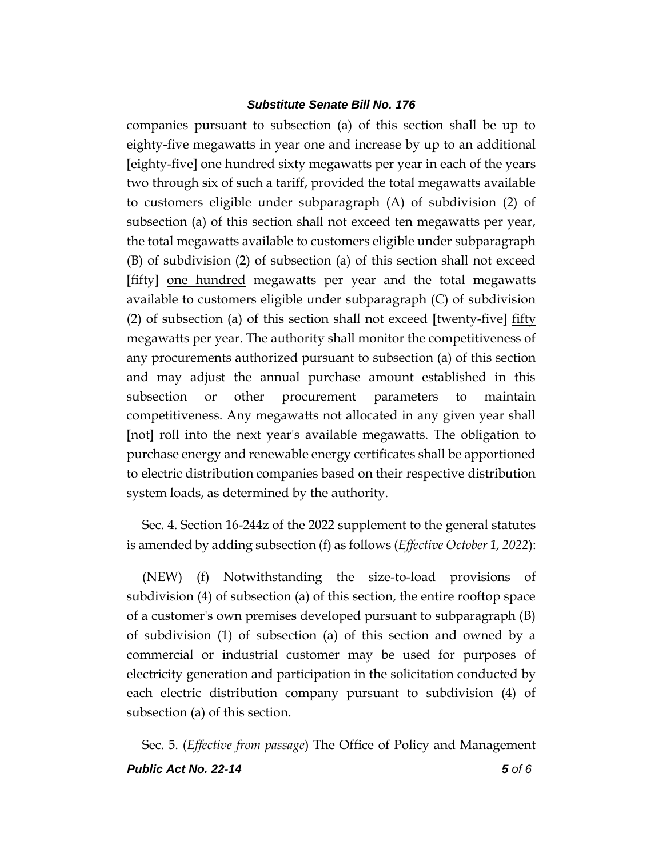companies pursuant to subsection (a) of this section shall be up to eighty-five megawatts in year one and increase by up to an additional **[**eighty-five**]** one hundred sixty megawatts per year in each of the years two through six of such a tariff, provided the total megawatts available to customers eligible under subparagraph (A) of subdivision (2) of subsection (a) of this section shall not exceed ten megawatts per year, the total megawatts available to customers eligible under subparagraph (B) of subdivision (2) of subsection (a) of this section shall not exceed **[**fifty**]** one hundred megawatts per year and the total megawatts available to customers eligible under subparagraph (C) of subdivision (2) of subsection (a) of this section shall not exceed **[**twenty-five**]** fifty megawatts per year. The authority shall monitor the competitiveness of any procurements authorized pursuant to subsection (a) of this section and may adjust the annual purchase amount established in this subsection or other procurement parameters to maintain competitiveness. Any megawatts not allocated in any given year shall **[**not**]** roll into the next year's available megawatts. The obligation to purchase energy and renewable energy certificates shall be apportioned to electric distribution companies based on their respective distribution system loads, as determined by the authority.

Sec. 4. Section 16-244z of the 2022 supplement to the general statutes is amended by adding subsection (f) as follows (*Effective October 1, 2022*):

(NEW) (f) Notwithstanding the size-to-load provisions of subdivision (4) of subsection (a) of this section, the entire rooftop space of a customer's own premises developed pursuant to subparagraph (B) of subdivision (1) of subsection (a) of this section and owned by a commercial or industrial customer may be used for purposes of electricity generation and participation in the solicitation conducted by each electric distribution company pursuant to subdivision (4) of subsection (a) of this section.

*Public Act No. 22-14 5 of 6* Sec. 5. (*Effective from passage*) The Office of Policy and Management